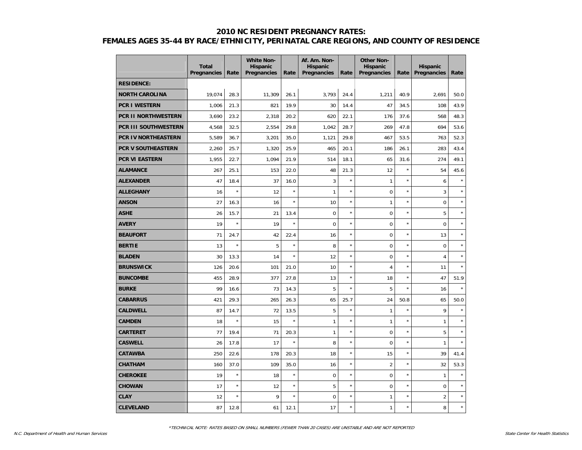|                             | <b>Total</b><br>Pregnancies | Rate    | <b>White Non-</b><br>Hispanic<br>Pregnancies | Rate    | Af. Am. Non-<br><b>Hispanic</b><br>Pregnancies | Rate    | <b>Other Non-</b><br>Hispanic<br>Pregnancies | Rate    | Hispanic<br>Pregnancies | Rate    |
|-----------------------------|-----------------------------|---------|----------------------------------------------|---------|------------------------------------------------|---------|----------------------------------------------|---------|-------------------------|---------|
| <b>RESIDENCE:</b>           |                             |         |                                              |         |                                                |         |                                              |         |                         |         |
| <b>NORTH CAROLINA</b>       | 19,074                      | 28.3    | 11,309                                       | 26.1    | 3,793                                          | 24.4    | 1,211                                        | 40.9    | 2,691                   | 50.0    |
| <b>PCR I WESTERN</b>        | 1,006                       | 21.3    | 821                                          | 19.9    | 30                                             | 14.4    | 47                                           | 34.5    | 108                     | 43.9    |
| <b>PCR II NORTHWESTERN</b>  | 3,690                       | 23.2    | 2,318                                        | 20.2    | 620                                            | 22.1    | 176                                          | 37.6    | 568                     | 48.3    |
| <b>PCR III SOUTHWESTERN</b> | 4,568                       | 32.5    | 2,554                                        | 29.8    | 1,042                                          | 28.7    | 269                                          | 47.8    | 694                     | 53.6    |
| PCR IV NORTHEASTERN         | 5,589                       | 36.7    | 3,201                                        | 35.0    | 1,121                                          | 29.8    | 467                                          | 53.5    | 763                     | 52.3    |
| <b>PCR V SOUTHEASTERN</b>   | 2,260                       | 25.7    | 1,320                                        | 25.9    | 465                                            | 20.1    | 186                                          | 26.1    | 283                     | 43.4    |
| <b>PCR VI EASTERN</b>       | 1,955                       | 22.7    | 1,094                                        | 21.9    | 514                                            | 18.1    | 65                                           | 31.6    | 274                     | 49.1    |
| <b>ALAMANCE</b>             | 267                         | 25.1    | 153                                          | 22.0    | 48                                             | 21.3    | 12                                           | $\star$ | 54                      | 45.6    |
| <b>ALEXANDER</b>            | 47                          | 18.4    | 37                                           | 16.0    | 3                                              | $\star$ | $\mathbf{1}$                                 | $\star$ | 6                       |         |
| <b>ALLEGHANY</b>            | 16                          | $\star$ | 12                                           | $\star$ | $\mathbf{1}$                                   | $\star$ | $\mathbf 0$                                  | $\star$ | 3                       |         |
| <b>ANSON</b>                | 27                          | 16.3    | 16                                           | $\star$ | 10                                             | $\star$ | $\mathbf{1}$                                 | $\star$ | $\mathsf 0$             |         |
| <b>ASHE</b>                 | 26                          | 15.7    | 21                                           | 13.4    | $\mathbf 0$                                    | $\star$ | $\mathbf 0$                                  | $\star$ | 5                       |         |
| <b>AVERY</b>                | 19                          | $\star$ | 19                                           | $\star$ | $\mathbf 0$                                    | $\star$ | $\mathbf 0$                                  | $\star$ | $\mathbf 0$             |         |
| <b>BEAUFORT</b>             | 71                          | 24.7    | 42                                           | 22.4    | 16                                             | $\star$ | $\mathbf 0$                                  | $\star$ | 13                      | $\star$ |
| <b>BERTIE</b>               | 13                          | $\star$ | 5                                            | $\star$ | 8                                              | $\star$ | $\overline{0}$                               | $\star$ | $\mathbf 0$             | $\star$ |
| <b>BLADEN</b>               | 30                          | 13.3    | 14                                           | $\star$ | 12                                             | $\star$ | $\mathbf 0$                                  | $\star$ | $\overline{4}$          | $\star$ |
| <b>BRUNSWICK</b>            | 126                         | 20.6    | 101                                          | 21.0    | 10                                             | $\star$ | 4                                            | $\star$ | 11                      | $\star$ |
| <b>BUNCOMBE</b>             | 455                         | 28.9    | 377                                          | 27.8    | 13                                             | $\star$ | 18                                           | $\star$ | 47                      | 51.9    |
| <b>BURKE</b>                | 99                          | 16.6    | 73                                           | 14.3    | 5                                              | $\star$ | 5                                            | $\star$ | 16                      | $\star$ |
| <b>CABARRUS</b>             | 421                         | 29.3    | 265                                          | 26.3    | 65                                             | 25.7    | 24                                           | 50.8    | 65                      | 50.0    |
| <b>CALDWELL</b>             | 87                          | 14.7    | 72                                           | 13.5    | 5                                              | $\star$ | $\mathbf{1}$                                 | $\star$ | 9                       |         |
| <b>CAMDEN</b>               | 18                          | $\star$ | 15                                           | $\star$ | $\mathbf{1}$                                   | $\star$ | $\mathbf{1}$                                 | $\star$ | $\mathbf{1}$            |         |
| <b>CARTERET</b>             | 77                          | 19.4    | 71                                           | 20.3    | $\mathbf{1}$                                   | $\star$ | $\mathbf 0$                                  | $\star$ | 5                       |         |
| <b>CASWELL</b>              | 26                          | 17.8    | 17                                           | $\star$ | 8                                              | $\star$ | $\mathbf 0$                                  | $\star$ | $\mathbf{1}$            | $\star$ |
| <b>CATAWBA</b>              | 250                         | 22.6    | 178                                          | 20.3    | 18                                             | $\star$ | 15                                           | $\star$ | 39                      | 41.4    |
| <b>CHATHAM</b>              | 160                         | 37.0    | 109                                          | 35.0    | 16                                             | $\star$ | $\overline{2}$                               | $\star$ | 32                      | 53.3    |
| <b>CHEROKEE</b>             | 19                          | $\star$ | 18                                           | $\star$ | $\mathbf 0$                                    | $\star$ | $\mathbf 0$                                  | $\star$ | $\mathbf{1}$            | $\star$ |
| <b>CHOWAN</b>               | 17                          | $\star$ | 12                                           | $\star$ | 5                                              | $\star$ | $\overline{0}$                               | $\star$ | $\mathbf 0$             |         |
| <b>CLAY</b>                 | 12                          | $\star$ | 9                                            | $\star$ | $\mathbf 0$                                    | $\star$ | 1                                            | $\star$ | $\overline{2}$          |         |
| <b>CLEVELAND</b>            | 87                          | 12.8    | 61                                           | 12.1    | 17                                             | $\star$ | $\mathbf{1}$                                 | $\star$ | 8                       | $\star$ |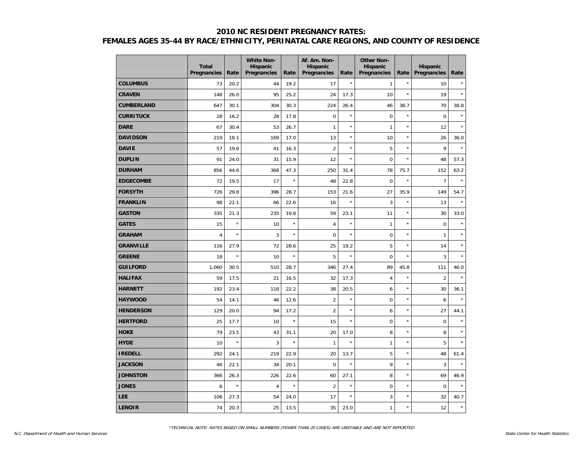|                   | <b>Total</b><br>Pregnancies | Rate    | <b>White Non-</b><br><b>Hispanic</b><br>Pregnancies | Rate    | Af. Am. Non-<br><b>Hispanic</b><br>Pregnancies | Rate    | <b>Other Non-</b><br><b>Hispanic</b><br>Pregnancies | Rate    | <b>Hispanic</b><br>Pregnancies | Rate    |
|-------------------|-----------------------------|---------|-----------------------------------------------------|---------|------------------------------------------------|---------|-----------------------------------------------------|---------|--------------------------------|---------|
| <b>COLUMBUS</b>   | 73                          | 20.2    | 44                                                  | 19.2    | 17                                             | $\star$ | $\mathbf{1}$                                        | ×       | 10                             |         |
| <b>CRAVEN</b>     | 148                         | 26.0    | 95                                                  | 25.2    | 24                                             | 17.3    | 10                                                  | $\star$ | 19                             | $\star$ |
| <b>CUMBERLAND</b> | 647                         | 30.1    | 304                                                 | 30.3    | 224                                            | 26.4    | 46                                                  | 38.7    | 70                             | 38.8    |
| <b>CURRITUCK</b>  | 28                          | 16.2    | 28                                                  | 17.8    | $\mathbf 0$                                    | $\star$ | $\pmb{0}$                                           | $\star$ | $\Omega$                       |         |
| <b>DARE</b>       | 67                          | 30.4    | 53                                                  | 26.7    | 1                                              | $\star$ | 1                                                   | $\star$ | 12                             | $\star$ |
| <b>DAVIDSON</b>   | 219                         | 18.1    | 169                                                 | 17.0    | 13                                             | $\star$ | 10                                                  | $\star$ | 26                             | 36.0    |
| <b>DAVIE</b>      | 57                          | 19.6    | 41                                                  | 16.3    | $\overline{2}$                                 | $\star$ | 5                                                   | $\star$ | 9                              | $\star$ |
| <b>DUPLIN</b>     | 91                          | 24.0    | 31                                                  | 15.9    | 12                                             | $\star$ | $\mathbf 0$                                         | $\star$ | 48                             | 57.3    |
| <b>DURHAM</b>     | 856                         | 44.6    | 368                                                 | 47.3    | 250                                            | 31.4    | 78                                                  | 75.7    | 152                            | 63.2    |
| <b>EDGECOMBE</b>  | 72                          | 19.5    | 17                                                  | $\star$ | 48                                             | 22.8    | $\pmb{0}$                                           | $\star$ | $\overline{7}$                 | $\star$ |
| <b>FORSYTH</b>    | 726                         | 29.8    | 396                                                 | 28.7    | 153                                            | 21.6    | 27                                                  | 35.9    | 149                            | 54.7    |
| <b>FRANKLIN</b>   | 98                          | 22.1    | 66                                                  | 22.6    | 16                                             | $\star$ | 3                                                   | $\star$ | 13                             | $\star$ |
| <b>GASTON</b>     | 335                         | 21.3    | 235                                                 | 19.8    | 59                                             | 23.1    | 11                                                  | $\star$ | 30                             | 33.0    |
| <b>GATES</b>      | 15                          | $\star$ | 10                                                  | $\star$ | $\overline{4}$                                 | $\star$ | $\mathbf{1}$                                        | $\star$ | $\mathbf 0$                    |         |
| <b>GRAHAM</b>     | $\overline{4}$              | $\star$ | 3                                                   | $\star$ | $\Omega$                                       | $\star$ | $\mathbf 0$                                         | $\star$ | $\mathbf{1}$                   |         |
| <b>GRANVILLE</b>  | 116                         | 27.9    | 72                                                  | 28.6    | 25                                             | 19.2    | 5                                                   | $\star$ | 14                             | $\star$ |
| <b>GREENE</b>     | 18                          | $\star$ | 10                                                  | $\star$ | 5                                              | $\star$ | $\mathbf 0$                                         | $\star$ | 3                              | $\star$ |
| <b>GUILFORD</b>   | 1,060                       | 30.5    | 510                                                 | 28.7    | 346                                            | 27.4    | 89                                                  | 45.8    | 111                            | 46.0    |
| <b>HALIFAX</b>    | 59                          | 17.5    | 21                                                  | 16.5    | 32                                             | 17.3    | $\overline{4}$                                      | $\star$ | $\overline{2}$                 | $\star$ |
| <b>HARNETT</b>    | 192                         | 23.4    | 118                                                 | 22.2    | 38                                             | 20.5    | 6                                                   | $\star$ | 30                             | 36.1    |
| <b>HAYWOOD</b>    | 54                          | 14.1    | 46                                                  | 12.6    | $\overline{2}$                                 | $\star$ | $\mathbf 0$                                         | $\star$ | 6                              | $\star$ |
| <b>HENDERSON</b>  | 129                         | 20.0    | 94                                                  | 17.2    | $\overline{2}$                                 | $\star$ | 6                                                   | $\star$ | 27                             | 44.1    |
| <b>HERTFORD</b>   | 25                          | 17.7    | 10                                                  | $\star$ | 15                                             | $\star$ | 0                                                   | $\star$ | $\Omega$                       | $\star$ |
| <b>HOKE</b>       | 79                          | 23.5    | 43                                                  | 31.1    | 20                                             | 17.0    | 8                                                   | $\star$ | 8                              | $\star$ |
| <b>HYDE</b>       | 10                          | $\star$ | 3                                                   | $\star$ | 1                                              | $\star$ | $\mathbf{1}$                                        | $\star$ | 5                              | $\star$ |
| <b>IREDELL</b>    | 292                         | 24.1    | 219                                                 | 22.9    | 20                                             | 13.7    | 5                                                   | $\star$ | 48                             | 61.4    |
| <b>JACKSON</b>    | 46                          | 22.1    | 34                                                  | 20.1    | $\overline{0}$                                 | $\star$ | 9                                                   | $\star$ | 3                              | $\star$ |
| <b>JOHNSTON</b>   | 366                         | 26.3    | 226                                                 | 22.6    | 60                                             | 27.1    | 8                                                   | $\star$ | 69                             | 46.9    |
| <b>JONES</b>      | 6                           | $\star$ | $\overline{4}$                                      | $\star$ | $\overline{c}$                                 | $\star$ | $\overline{0}$                                      | $\star$ | $\Omega$                       | $\star$ |
| LEE               | 106                         | 27.3    | 54                                                  | 24.0    | 17                                             | $\star$ | 3                                                   | $\star$ | 32                             | 40.7    |
| <b>LENOIR</b>     | 74                          | 20.3    | 25                                                  | 13.5    | 35                                             | 23.0    | $\mathbf{1}$                                        | $\star$ | 12                             | $\star$ |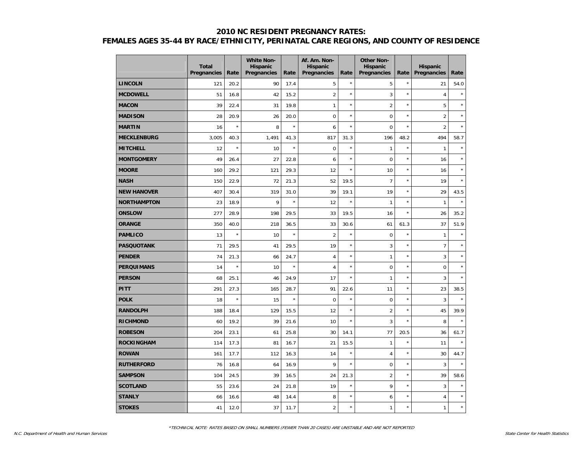|                    | <b>Total</b><br>Pregnancies | Rate    | <b>White Non-</b><br>Hispanic<br>Pregnancies | Rate    | Af. Am. Non-<br>Hispanic<br>Pregnancies | Rate    | <b>Other Non-</b><br>Hispanic<br>Pregnancies | Rate    | <b>Hispanic</b><br>Pregnancies | Rate    |
|--------------------|-----------------------------|---------|----------------------------------------------|---------|-----------------------------------------|---------|----------------------------------------------|---------|--------------------------------|---------|
| <b>LINCOLN</b>     | 121                         | 20.2    | 90                                           | 17.4    | 5                                       | $\star$ | 5                                            | $\star$ | 21                             | 54.0    |
| <b>MCDOWELL</b>    | 51                          | 16.8    | 42                                           | 15.2    | $\overline{2}$                          | $\star$ | 3                                            | $\star$ | $\overline{4}$                 | $\star$ |
| <b>MACON</b>       | 39                          | 22.4    | 31                                           | 19.8    | $\mathbf{1}$                            | $\star$ | $\overline{2}$                               | $\star$ | 5                              | $\star$ |
| <b>MADISON</b>     | 28                          | 20.9    | 26                                           | 20.0    | $\mathbf 0$                             | $\star$ | $\overline{0}$                               | $\star$ | $\overline{2}$                 | $\star$ |
| <b>MARTIN</b>      | 16                          | $\star$ | 8                                            | $\star$ | 6                                       | $\star$ | 0                                            | $\star$ | $\overline{2}$                 | $\star$ |
| <b>MECKLENBURG</b> | 3,005                       | 40.3    | 1,491                                        | 41.3    | 817                                     | 31.3    | 196                                          | 48.2    | 494                            | 58.7    |
| <b>MITCHELL</b>    | 12                          | $\star$ | 10                                           | $\star$ | $\mathbf 0$                             | $\star$ | $\mathbf{1}$                                 | $\star$ | $\mathbf{1}$                   | $\star$ |
| <b>MONTGOMERY</b>  | 49                          | 26.4    | 27                                           | 22.8    | 6                                       | $\star$ | $\overline{0}$                               | $\star$ | 16                             | $\star$ |
| <b>MOORE</b>       | 160                         | 29.2    | 121                                          | 29.3    | 12                                      | $\star$ | 10                                           | $\star$ | 16                             | $\star$ |
| <b>NASH</b>        | 150                         | 22.9    | 72                                           | 21.3    | 52                                      | 19.5    | $\overline{7}$                               | $\star$ | 19                             | $\star$ |
| <b>NEW HANOVER</b> | 407                         | 30.4    | 319                                          | 31.0    | 39                                      | 19.1    | 19                                           | $\star$ | 29                             | 43.5    |
| <b>NORTHAMPTON</b> | 23                          | 18.9    | 9                                            | $\star$ | 12                                      | $\star$ | $\mathbf{1}$                                 | $\star$ | $\mathbf{1}$                   | $\star$ |
| <b>ONSLOW</b>      | 277                         | 28.9    | 198                                          | 29.5    | 33                                      | 19.5    | 16                                           | $\star$ | 26                             | 35.2    |
| <b>ORANGE</b>      | 350                         | 40.0    | 218                                          | 36.5    | 33                                      | 30.6    | 61                                           | 61.3    | 37                             | 51.9    |
| <b>PAMLICO</b>     | 13                          | $\star$ | 10                                           | $\star$ | $\overline{2}$                          | $\star$ | $\mathbf 0$                                  | $\star$ | $\mathbf{1}$                   |         |
| <b>PASQUOTANK</b>  | 71                          | 29.5    | 41                                           | 29.5    | 19                                      | $\star$ | 3                                            | $\star$ | $\overline{7}$                 |         |
| <b>PENDER</b>      | 74                          | 21.3    | 66                                           | 24.7    | $\sqrt{4}$                              | $\star$ | $\mathbf{1}$                                 | $\star$ | 3                              |         |
| <b>PERQUIMANS</b>  | 14                          | $\star$ | 10                                           | $\star$ | $\overline{4}$                          | $\star$ | $\pmb{0}$                                    | $\star$ | $\pmb{0}$                      | $\star$ |
| <b>PERSON</b>      | 68                          | 25.1    | 46                                           | 24.9    | 17                                      | $\star$ | $\mathbf{1}$                                 | $\star$ | 3                              | $\star$ |
| <b>PITT</b>        | 291                         | 27.3    | 165                                          | 28.7    | 91                                      | 22.6    | 11                                           | ×       | 23                             | 38.5    |
| <b>POLK</b>        | 18                          | $\star$ | 15                                           | $\star$ | $\overline{0}$                          | $\star$ | $\overline{0}$                               | $\star$ | 3                              |         |
| <b>RANDOLPH</b>    | 188                         | 18.4    | 129                                          | 15.5    | 12                                      | $\star$ | $\overline{2}$                               | $\star$ | 45                             | 39.9    |
| <b>RICHMOND</b>    | 60                          | 19.2    | 39                                           | 21.6    | 10                                      | $\star$ | 3                                            | $\star$ | 8                              | ×       |
| <b>ROBESON</b>     | 204                         | 23.1    | 61                                           | 25.8    | 30                                      | 14.1    | 77                                           | 20.5    | 36                             | 61.7    |
| <b>ROCKINGHAM</b>  | 114                         | 17.3    | 81                                           | 16.7    | 21                                      | 15.5    | $\mathbf{1}$                                 | $\star$ | 11                             | $\star$ |
| <b>ROWAN</b>       | 161                         | 17.7    | 112                                          | 16.3    | 14                                      | $\star$ | 4                                            | $\star$ | 30                             | 44.7    |
| <b>RUTHERFORD</b>  | 76                          | 16.8    | 64                                           | 16.9    | 9                                       | $\star$ | $\mathbf 0$                                  | $\star$ | 3                              | $\star$ |
| <b>SAMPSON</b>     | 104                         | 24.5    | 39                                           | 16.5    | 24                                      | 21.3    | $\overline{2}$                               | $\star$ | 39                             | 58.6    |
| <b>SCOTLAND</b>    | 55                          | 23.6    | 24                                           | 21.8    | 19                                      | $\star$ | 9                                            | $\star$ | 3                              | $\star$ |
| <b>STANLY</b>      | 66                          | 16.6    | 48                                           | 14.4    | 8                                       | $\star$ | 6                                            | $\star$ | $\overline{4}$                 |         |
| <b>STOKES</b>      | 41                          | 12.0    | 37                                           | 11.7    | $\overline{2}$                          | $\star$ | $\mathbf{1}$                                 | $\star$ | $\mathbf{1}$                   | ×       |